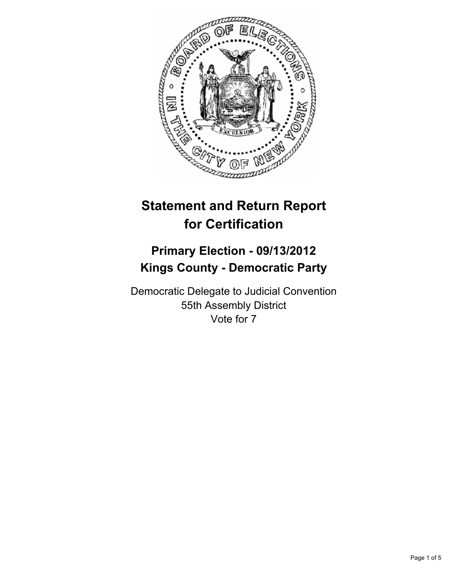

# **Statement and Return Report for Certification**

## **Primary Election - 09/13/2012 Kings County - Democratic Party**

Democratic Delegate to Judicial Convention 55th Assembly District Vote for 7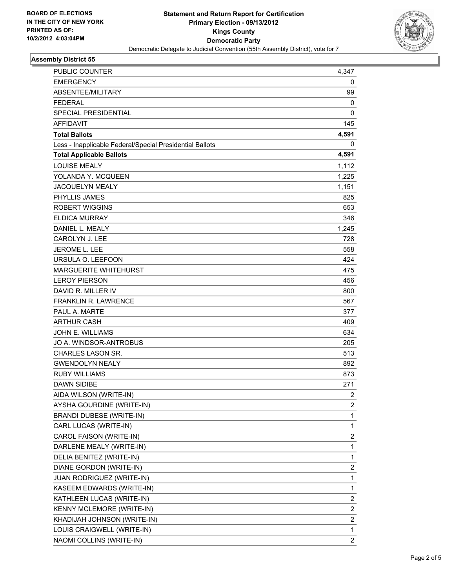

## **Assembly District 55**

| <b>PUBLIC COUNTER</b>                                    | 4,347                   |
|----------------------------------------------------------|-------------------------|
| <b>EMERGENCY</b>                                         | 0                       |
| ABSENTEE/MILITARY                                        | 99                      |
| <b>FEDERAL</b>                                           | 0                       |
| SPECIAL PRESIDENTIAL                                     | 0                       |
| <b>AFFIDAVIT</b>                                         | 145                     |
| <b>Total Ballots</b>                                     | 4,591                   |
| Less - Inapplicable Federal/Special Presidential Ballots | 0                       |
| <b>Total Applicable Ballots</b>                          | 4,591                   |
| <b>LOUISE MEALY</b>                                      | 1,112                   |
| YOLANDA Y. MCQUEEN                                       | 1,225                   |
| <b>JACQUELYN MEALY</b>                                   | 1,151                   |
| PHYLLIS JAMES                                            | 825                     |
| <b>ROBERT WIGGINS</b>                                    | 653                     |
| <b>ELDICA MURRAY</b>                                     | 346                     |
| DANIEL L. MEALY                                          | 1,245                   |
| <b>CAROLYN J. LEE</b>                                    | 728                     |
| <b>JEROME L. LEE</b>                                     | 558                     |
| URSULA O. LEEFOON                                        | 424                     |
| <b>MARGUERITE WHITEHURST</b>                             | 475                     |
| <b>LEROY PIERSON</b>                                     | 456                     |
| DAVID R. MILLER IV                                       | 800                     |
| <b>FRANKLIN R. LAWRENCE</b>                              | 567                     |
| PAUL A. MARTE                                            | 377                     |
| <b>ARTHUR CASH</b>                                       | 409                     |
| <b>JOHN E. WILLIAMS</b>                                  | 634                     |
| JO A. WINDSOR-ANTROBUS                                   | 205                     |
| CHARLES LASON SR.                                        | 513                     |
| <b>GWENDOLYN NEALY</b>                                   | 892                     |
| <b>RUBY WILLIAMS</b>                                     | 873                     |
| <b>DAWN SIDIBE</b>                                       | 271                     |
| AIDA WILSON (WRITE-IN)                                   | 2                       |
| AYSHA GOURDINE (WRITE-IN)                                | 2                       |
| <b>BRANDI DUBESE (WRITE-IN)</b>                          | 1                       |
| CARL LUCAS (WRITE-IN)                                    | 1                       |
| CAROL FAISON (WRITE-IN)                                  | $\overline{\mathbf{c}}$ |
| DARLENE MEALY (WRITE-IN)                                 | 1                       |
| DELIA BENITEZ (WRITE-IN)                                 | 1                       |
| DIANE GORDON (WRITE-IN)                                  | 2                       |
| JUAN RODRIGUEZ (WRITE-IN)                                | 1                       |
| KASEEM EDWARDS (WRITE-IN)                                | 1                       |
| KATHLEEN LUCAS (WRITE-IN)                                | 2                       |
| KENNY MCLEMORE (WRITE-IN)                                | 2                       |
| KHADIJAH JOHNSON (WRITE-IN)                              | 2                       |
| LOUIS CRAIGWELL (WRITE-IN)                               | 1                       |
| NAOMI COLLINS (WRITE-IN)                                 | $\overline{c}$          |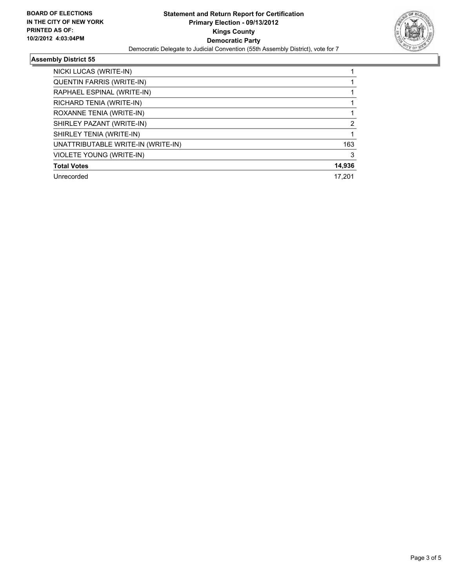

## **Assembly District 55**

| NICKI LUCAS (WRITE-IN)             |        |
|------------------------------------|--------|
| <b>QUENTIN FARRIS (WRITE-IN)</b>   |        |
| RAPHAEL ESPINAL (WRITE-IN)         |        |
| RICHARD TENIA (WRITE-IN)           |        |
| ROXANNE TENIA (WRITE-IN)           |        |
| SHIRLEY PAZANT (WRITE-IN)          | 2      |
| SHIRLEY TENIA (WRITE-IN)           |        |
| UNATTRIBUTABLE WRITE-IN (WRITE-IN) | 163    |
| VIOLETE YOUNG (WRITE-IN)           | 3      |
| <b>Total Votes</b>                 | 14,936 |
| Unrecorded                         | 17.201 |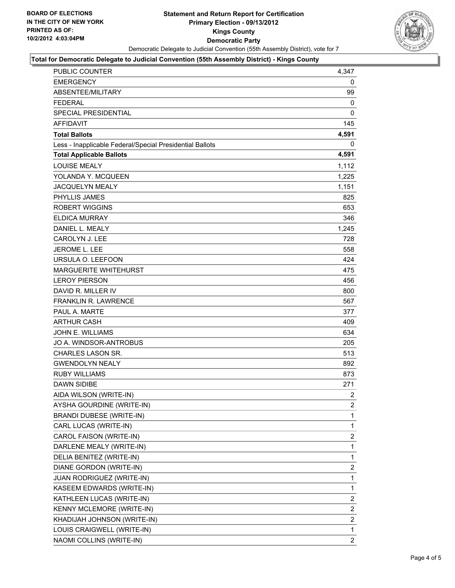

#### **Total for Democratic Delegate to Judicial Convention (55th Assembly District) - Kings County**

| PUBLIC COUNTER                                           | 4,347          |
|----------------------------------------------------------|----------------|
| <b>EMERGENCY</b>                                         | 0              |
| ABSENTEE/MILITARY                                        | 99             |
| <b>FEDERAL</b>                                           | 0              |
| <b>SPECIAL PRESIDENTIAL</b>                              | 0              |
| <b>AFFIDAVIT</b>                                         | 145            |
| <b>Total Ballots</b>                                     | 4,591          |
| Less - Inapplicable Federal/Special Presidential Ballots | 0              |
| <b>Total Applicable Ballots</b>                          | 4,591          |
| <b>LOUISE MEALY</b>                                      | 1,112          |
| YOLANDA Y. MCQUEEN                                       | 1,225          |
| JACQUELYN MEALY                                          | 1,151          |
| <b>PHYLLIS JAMES</b>                                     | 825            |
| <b>ROBERT WIGGINS</b>                                    | 653            |
| <b>ELDICA MURRAY</b>                                     | 346            |
| DANIEL L. MEALY                                          | 1,245          |
| <b>CAROLYN J. LEE</b>                                    | 728            |
| <b>JEROME L. LEE</b>                                     | 558            |
| URSULA O. LEEFOON                                        | 424            |
| <b>MARGUERITE WHITEHURST</b>                             | 475            |
| <b>LEROY PIERSON</b>                                     | 456            |
| DAVID R. MILLER IV                                       | 800            |
| <b>FRANKLIN R. LAWRENCE</b>                              | 567            |
| PAUL A. MARTE                                            | 377            |
| <b>ARTHUR CASH</b>                                       | 409            |
| <b>JOHN E. WILLIAMS</b>                                  | 634            |
| JO A. WINDSOR-ANTROBUS                                   | 205            |
| CHARLES LASON SR.                                        | 513            |
| <b>GWENDOLYN NEALY</b>                                   | 892            |
| <b>RUBY WILLIAMS</b>                                     | 873            |
| <b>DAWN SIDIBE</b>                                       | 271            |
| AIDA WILSON (WRITE-IN)                                   | $\overline{c}$ |
| AYSHA GOURDINE (WRITE-IN)                                | 2              |
| BRANDI DUBESE (WRITE-IN)                                 | 1              |
| CARL LUCAS (WRITE-IN)                                    | 1              |
| CAROL FAISON (WRITE-IN)                                  | 2              |
| DARLENE MEALY (WRITE-IN)                                 | 1              |
| DELIA BENITEZ (WRITE-IN)                                 | 1              |
| DIANE GORDON (WRITE-IN)                                  | $\mathbf{2}$   |
| JUAN RODRIGUEZ (WRITE-IN)                                | 1              |
| KASEEM EDWARDS (WRITE-IN)                                | 1              |
| KATHLEEN LUCAS (WRITE-IN)                                | $\mathbf{2}$   |
| KENNY MCLEMORE (WRITE-IN)                                | 2              |
| KHADIJAH JOHNSON (WRITE-IN)                              | 2              |
| LOUIS CRAIGWELL (WRITE-IN)                               | 1              |
| NAOMI COLLINS (WRITE-IN)                                 | $\overline{2}$ |